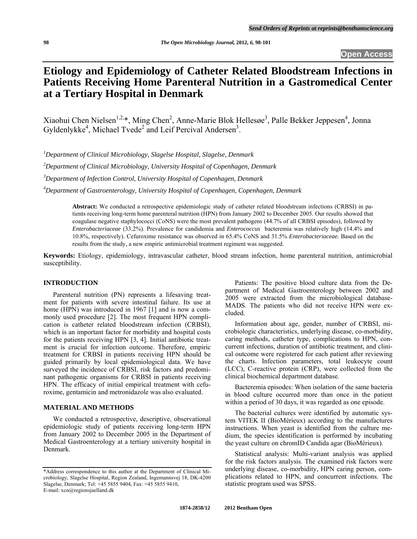**Open Access** 

# **Etiology and Epidemiology of Catheter Related Bloodstream Infections in**  Patients Receiving Home Parenteral Nutrition in a Gastromedical Center **at a Tertiary Hospital in Denmark**

Xiaohui Chen Nielsen<sup>1,2,\*</sup>, Ming Chen<sup>2</sup>, Anne-Marie Blok Hellesøe<sup>3</sup>, Palle Bekker Jeppesen<sup>4</sup>, Jonna Gyldenlykke<sup>4</sup>, Michael Tvede<sup>2</sup> and Leif Percival Andersen<sup>3</sup>.

*1 Department of Clinical Microbiology, Slagelse Hospital, Slagelse, Denmark* 

*2 Department of Clinical Microbiology, University Hospital of Copenhagen, Denmark* 

*3 Department of Infection Control, University Hospital of Copenhagen, Denmark* 

*4 Department of Gastroenterology, University Hospital of Copenhagen, Copenhagen, Denmark* 

**Abstract:** We conducted a retrospective epidemiologic study of catheter related bloodstream infections (CRBSI) in patients receiving long-term home parenteral nutrition (HPN) from January 2002 to December 2005. Our results showed that coagulase negative staphylococci (CoNS) were the most prevalent pathogens (44.7% of all CRBSI episodes), followed by *Enterobacteriaceae* (33.2%). Prevalence for candidemia and *Enterococcus* bacteremia was relatively high (14.4% and 10.8%, respectively). Cefuroxime resistance was observed in 65.4% CoNS and 31.5% *Enterobacteriaceae.* Based on the results from the study, a new empiric antimicrobial treatment regiment was suggested.

**Keywords:** Etiology, epidemiology, intravascular catheter, blood stream infection, home parenteral nutrition, antimicrobial susceptibility.

# **INTRODUCTION**

 Parenteral nutrition (PN) represents a lifesaving treatment for patients with severe intestinal failure. Its use at home (HPN) was introduced in 1967 [1] and is now a commonly used procedure [2]. The most frequent HPN complication is catheter related bloodstream infection (CRBSI), which is an important factor for morbidity and hospital costs for the patients receiving HPN [3, 4]. Initial antibiotic treatment is crucial for infection outcome. Therefore, empiric treatment for CRBSI in patients receiving HPN should be guided primarily by local epidemiological data. We have surveyed the incidence of CRBSI, risk factors and predominant pathogenic organisms for CRBSI in patients receiving HPN. The efficacy of initial empirical treatment with cefuroxime, gentamicin and metronidazole was also evaluated.

# **MATERIAL AND METHODS**

 We conducted a retrospective, descriptive, observational epidemiologic study of patients receiving long-term HPN from January 2002 to December 2005 in the Department of Medical Gastroenterology at a tertiary university hospital in Denmark.

 Patients: The positive blood culture data from the Department of Medical Gastroenterology between 2002 and 2005 were extracted from the microbiological database-MADS. The patients who did not receive HPN were excluded.

 Information about age, gender, number of CRBSI, microbiologic characteristics, underlying disease, co-morbidity, caring methods, catheter type, complications to HPN, concurrent infections, duration of antibiotic treatment, and clinical outcome were registered for each patient after reviewing the charts. Infection parameters, total leukocyte count (LCC), C-reactive protein (CRP), were collected from the clinical biochemical department database.

 Bacteremia episodes: When isolation of the same bacteria in blood culture occurred more than once in the patient within a period of 30 days, it was regarded as one episode.

 The bacterial cultures were identified by automatic system VITEK II (BioMérieux) according to the manufactures instructions. When yeast is identified from the culture medium, the species identification is performed by incubating the yeast culture on chromID Candida agar (BioMérieux).

 Statistical analysis: Multi-variant analysis was applied for the risk factors analysis. The examined risk factors were underlying disease, co-morbidity, HPN caring person, complications related to HPN, and concurrent infections. The statistic program used was SPSS.

<sup>\*</sup>Address correspondence to this author at the Department of Clinical Microbiology, Slagelse Hospital, Region Zealand, Ingemannsvej 18, DK-4200 Slagelse, Denmark; Tel: +45 5855 9404, Fax: +45 5855 9410, E-mail: xcn@regionsjaelland.dk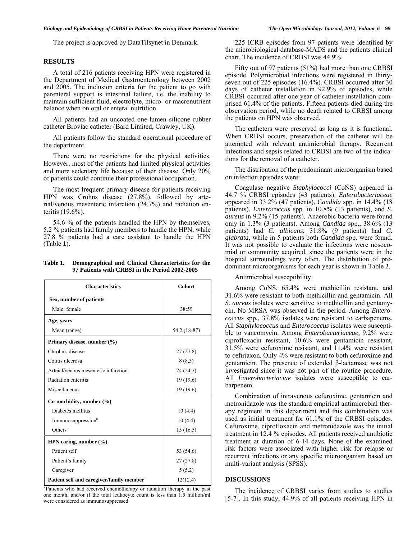The project is approved by DataTilsynet in Denmark.

### **RESULTS**

 A total of 216 patients receiving HPN were registered in the Department of Medical Gastroenterology between 2002 and 2005. The inclusion criteria for the patient to go with parenteral support is intestinal failure, i.e. the inability to maintain sufficient fluid, electrolyte, micro- or macronutrient balance when on oral or enteral nutrtition.

 All patients had an uncoated one-lumen silicone rubber catheter Broviac catheter (Bard Limited, Crawley, UK).

 All patients follow the standard operational procedure of the department.

 There were no restrictions for the physical activities. However, most of the patients had limited physical activities and more sedentary life because of their disease. Only 20% of patients could continue their professional occupation.

 The most frequent primary disease for patients receiving HPN was Crohns disease (27.8%), followed by arterial/venous mesenteric infarction (24.7%) and radiation enteritis (19.6%).

 54.6 % of the patients handled the HPN by themselves, 5.2 % patients had family members to handle the HPN, while 27.8 % patients had a care assistant to handle the HPN (Table **1**).

| Table 1. | Demographical and Clinical Characteristics for the |
|----------|----------------------------------------------------|
|          | 97 Patients with CRBSI in the Period 2002-2005     |

| <b>Characteristics</b>                   | <b>Cohort</b> |  |  |
|------------------------------------------|---------------|--|--|
| Sex, number of patients                  |               |  |  |
| Male: female                             | 38:59         |  |  |
| Age, years                               |               |  |  |
| Mean (range)                             | 54.2 (18-87)  |  |  |
| Primary disease, number (%)              |               |  |  |
| Chrohn's disease                         | 27(27.8)      |  |  |
| Colitis ulcerosa                         | 8(8,3)        |  |  |
| Arteial/venous mesenteric infarction     | 24 (24.7)     |  |  |
| Radiation enteritis                      | 19(19,6)      |  |  |
| Miscellaneous                            | 19(19.6)      |  |  |
| Co-morbidity, number $(\% )$             |               |  |  |
| Diabetes mellitus                        | 10(4.4)       |  |  |
| Immunosuppression <sup>a</sup>           | 10(4.4)       |  |  |
| Others                                   | 15(16.5)      |  |  |
| HPN caring, number $(\% )$               |               |  |  |
| Patient self                             | 53 (54.6)     |  |  |
| Patient's family                         | 27(27.8)      |  |  |
| Caregiver                                | 5(5.2)        |  |  |
| Patient self and caregiver/family member | 12(12.4)      |  |  |

<sup>a.</sup>Patients who had received chemotherapy or radiation therapy in the past one month, and/or if the total leukocyte count is less than 1.5 million/ml were considered as immunosuppressed.

 225 ICRB episodes from 97 patients were identified by the microbiological database-MADS and the patients clinical chart. The incidence of CRBSI was 44.9%.

 Fifty out of 97 patients (51%) had more than one CRBSI episode. Polymicrobial infections were registered in thirtyseven out of 225 episodes (16.4%). CRBSI occurred after 30 days of catheter installation in 92.9% of episodes, while CRBSI occurred after one year of catheter installation comprised 61.4% of the patients. Fifteen patients died during the observation period, while no death related to CRBSI among the patients on HPN was observed.

 The catheters were preserved as long as it is functional. When CRBSI occurs, preservation of the catheter will be attempted with relevant antimicrobial therapy. Recurrent infections and sepsis related to CRBSI are two of the indications for the removal of a catheter.

 The distribution of the predominant microorganism based on infection episodes were:

 Coagulase negative *Staphylococci* (CoNS) appeared in 44.7 % CRBSI episodes (43 patients). *Enterobacteriaceae* appeared in 33.2% (47 patients), *Candida* spp. in 14.4% (18 patients), *Enterococcus* spp. in 10.8% (13 patients), and *S. aureus* in 9.2% (15 patients). Anaerobic bacteria were found only in 1.3% (3 patients). Among *Candida* spp., 38.6% (13 patients) had *C. albicans*, 31.8% (9 patients) had *C. glabrata,* while in 5 patients both *Candida* spp. were found. It was not possible to evaluate the infections were nosocomial or community acquired, since the patients were in the hospital surroundings very often. The distribution of predominant microorganisms for each year is shown in Table **2**.

Antimicrobial susceptibility:

 Among CoNS, 65.4% were methicillin resistant, and 31.6% were resistant to both methicillin and gentamicin. All *S. aureus* isolates were sensitive to methicillin and gentamycin. No MRSA was observed in the period. Among *Enterococcus* spp*.*, 37.8% isolates were resistant to carbapenems. All *Staphylococcus* and *Enterococcus* isolates were susceptible to vancomycin. Among *Enterobacteriaceae*, 9.2% were ciprofloxacin resistant, 10.6% were gentamicin resistant, 31.5% were cefuroxime resistant, and 11.4% were resistant to ceftriaxon. Only 4% were resistant to both cefuroxime and gentamicin. The presence of extended β-lactamase was not investigated since it was not part of the routine procedure. All *Enterobacteriaciae* isolates were susceptible to carbarpenem.

 Combination of intravenous cefuroxime, gentamicin and metronidazole was the standard empirical antimicrobial therapy regiment in this department and this combination was used as initial treatment for 61.1% of the CRBSI episodes. Cefuroxime, ciprofloxacin and metronidazole was the initial treatment in 12.4 % episodes. All patients received antibiotic treatment at duration of 6-14 days. None of the examined risk factors were associated with higher risk for relapse or recurrent infections or any specific microorganism based on multi-variant analysis (SPSS).

## **DISCUSSIONS**

 The incidence of CRBSI varies from studies to studies [5-7]. In this study, 44.9% of all patients receiving HPN in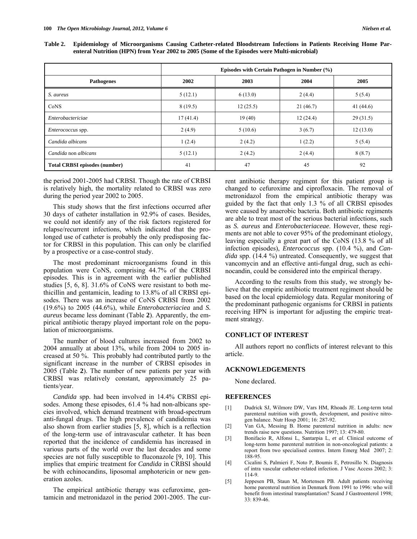| Table 2. Epidemiology of Microorganisms Causing Catheter-related Bloodstream Infections in Patients Receiving Home Par- |  |  |  |  |
|-------------------------------------------------------------------------------------------------------------------------|--|--|--|--|
| enteral Nutrition (HPN) from Year 2002 to 2005 (Some of the Episodes were Multi-microbial)                              |  |  |  |  |

|                                      | Episodes with Certain Pathogen in Number (%) |          |          |             |  |  |
|--------------------------------------|----------------------------------------------|----------|----------|-------------|--|--|
| <b>Pathogenes</b>                    | 2002                                         | 2003     | 2004     | 2005        |  |  |
| S. aureus                            | 5(12.1)                                      | 6(13.0)  | 2(4.4)   | 5(5.4)      |  |  |
| CoNS                                 | 8(19.5)                                      | 12(25.5) | 21(46.7) | 41 $(44.6)$ |  |  |
| Enterobactericiae                    | 17(41.4)                                     | 19(40)   | 12(24.4) | 29(31.5)    |  |  |
| <i>Enterococcus</i> spp.             | 2(4.9)                                       | 5(10.6)  | 3(6.7)   | 12(13.0)    |  |  |
| Candida albicans                     | 1(2.4)                                       | 2(4.2)   | 1(2.2)   | 5(5.4)      |  |  |
| Candida non albicans                 | 5(12.1)                                      | 2(4.2)   | 2(4.4)   | 8(8.7)      |  |  |
| <b>Total CRBSI episodes (number)</b> | 41                                           | 47       | 45       | 92          |  |  |

the period 2001-2005 had CRBSI. Though the rate of CRBSI is relatively high, the mortality related to CRBSI was zero during the period year 2002 to 2005.

This study shows that the first infections occurred after 30 days of catheter installation in 92.9% of cases. Besides, we could not identify any of the risk factors registered for relapse/recurrent infections, which indicated that the prolonged use of catheter is probably the only predisposing factor for CRBSI in this population. This can only be clarified by a prospective or a case-control study.

 The most predominant microorganisms found in this population were CoNS, comprising 44.7% of the CRBSI episodes. This is in agreement with the earlier published studies [5, 6, 8]. 31.6% of CoNS were resistant to both methicillin and gentamicin, leading to 13.8% of all CRBSI episodes. There was an increase of CoNS CRBSI from 2002 (19.6%) to 2005 (44.6%), while *Enterobacteriaciea* and *S. aureus* became less dominant (Table **2**). Apparently, the empirical antibiotic therapy played important role on the population of microorganisms.

 The number of blood cultures increased from 2002 to 2004 annually at about 13%, while from 2004 to 2005 increased at 50 %. This probably had contributed partly to the significant increase in the number of CRBSI episodes in 2005 (Table **2**). The number of new patients per year with CRBSI was relatively constant, approximately 25 patients/year.

 *Candida* spp. had been involved in 14.4% CRBSI episodes. Among these episodes, 61.4 % had non-albicans species involved, which demand treatment with broad-spectrum anti-fungal drugs. The high prevalence of candidemia was also shown from earlier studies [5, 8], which is a reflection of the long-term use of intravascular catheter. It has been reported that the incidence of candidemia has increased in various parts of the world over the last decades and some species are not fully susceptible to fluconazole [9, 10]. This implies that empiric treatment for *Candida* in CRBSI should be with echinocandins, liposomal amphotericin or new generation azoles.

 The empirical antibiotic therapy was cefuroxime, gentamicin and metronidazol in the period 2001-2005. The current antibiotic therapy regiment for this patient group is changed to cefuroxime and ciprofloxacin. The removal of metronidazol from the empirical antibiotic therapy was guided by the fact that only 1.3 % of all CRBSI episodes were caused by anaerobic bacteria. Both antibiotic regiments are able to treat most of the serious bacterial infections, such as *S. aureus* and *Enterobacteriaceae*. However, these regiments are not able to cover 95% of the predominant etiology, leaving especially a great part of the CoNS (13.8 % of all infection episodes), *Enterococcus* spp. (10.4 %), and *Candida* spp. (14.4 %) untreated. Consequently, we suggest that vancomycin and an effective anti-fungal drug, such as echinocandin, could be considered into the empirical therapy.

 According to the results from this study, we strongly believe that the empiric antibiotic treatment regiment should be based on the local epidemiology data. Regular monitoring of the predominant pathogenic organisms for CRBSI in patients receiving HPN is important for adjusting the empiric treatment strategy.

### **CONFLICT OF INTEREST**

 All authors report no conflicts of interest relevant to this article.

### **ACKNOWLEDGEMENTS**

None declared.

## **REFERENCES**

- [1] Dudrick SJ, Wilmore DW, Vars HM, Rhoads JE. Long-term total parenteral nutrition with growth, development, and positive nitrogen balance. Nutr Hosp 2001; 16: 287-92.
- [2] Van GA, Messing B. Home parenteral nutrition in adults: new trends raise new questions. Nutrition 1997; 13: 479-80.
- [3] Bonifacio R, Alfonsi L, Santarpia L, *et al*. Clinical outcome of long-term home parenteral nutrition in non-oncological patients: a report from two specialised centres. Intern Emerg Med 2007; 2: 188-95.
- [4] Cicalini S, Palmieri F, Noto P, Boumis E, Petrosillo N. Diagnosis of intra vascular catheter-related infection. J Vasc Access 2002; 3: 114-9.
- [5] Jeppesen PB, Staun M, Mortensen PB. Adult patients receiving home parenteral nutrition in Denmark from 1991 to 1996: who will benefit from intestinal transplantation? Scand J Gastroenterol 1998; 33: 839-46.